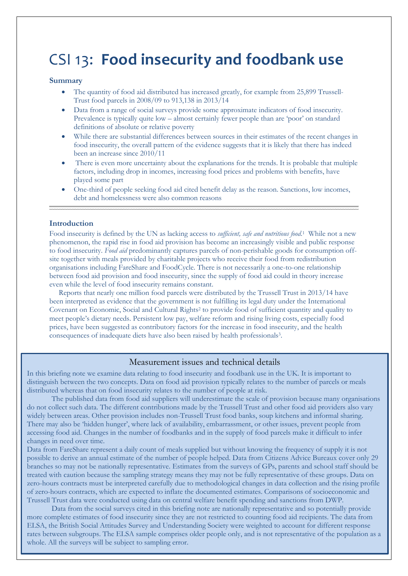# CSI 13: **Food insecurity and foodbank use**

# **Summary**

- The quantity of food aid distributed has increased greatly, for example from 25,899 Trussell-Trust food parcels in 2008/09 to 913,138 in 2013/14
- Data from a range of social surveys provide some approximate indicators of food insecurity. Prevalence is typically quite low – almost certainly fewer people than are 'poor' on standard definitions of absolute or relative poverty
- While there are substantial differences between sources in their estimates of the recent changes in food insecurity, the overall pattern of the evidence suggests that it is likely that there has indeed been an increase since 2010/11
- There is even more uncertainty about the explanations for the trends. It is probable that multiple factors, including drop in incomes, increasing food prices and problems with benefits, have played some part
- One-third of people seeking food aid cited benefit delay as the reason. Sanctions, low incomes, debt and homelessness were also common reasons

# **Introduction**

Food insecurity is defined by the UN as lacking access to *sufficient, safe and nutritious food*. 1 While not a new phenomenon, the rapid rise in food aid provision has become an increasingly visible and public response to food insecurity. *Food aid* predominantly captures parcels of non-perishable goods for consumption offsite together with meals provided by charitable projects who receive their food from redistribution organisations including FareShare and FoodCycle. There is not necessarily a one-to-one relationship between food aid provision and food insecurity, since the supply of food aid could in theory increase even while the level of food insecurity remains constant.

 Reports that nearly one million food parcels were distributed by the Trussell Trust in 2013/14 have been interpreted as evidence that the government is not fulfilling its legal duty under the International Covenant on Economic, Social and Cultural Rights<sup>2</sup> to provide food of sufficient quantity and quality to meet people's dietary needs. Persistent low pay, welfare reform and rising living costs, especially food prices, have been suggested as contributory factors for the increase in food insecurity, and the health consequences of inadequate diets have also been raised by health professionals<sup>3</sup>.

# Measurement issues and technical details

In this briefing note we examine data relating to food insecurity and foodbank use in the UK. It is important to distinguish between the two concepts. Data on food aid provision typically relates to the number of parcels or meals distributed whereas that on food insecurity relates to the number of people at risk.

The published data from food aid suppliers will underestimate the scale of provision because many organisations do not collect such data. The different contributions made by the Trussell Trust and other food aid providers also vary widely between areas. Other provision includes non-Trussell Trust food banks, soup kitchens and informal sharing. There may also be 'hidden hunger', where lack of availability, embarrassment, or other issues, prevent people from accessing food aid. Changes in the number of foodbanks and in the supply of food parcels make it difficult to infer changes in need over time.

Data from FareShare represent a daily count of meals supplied but without knowing the frequency of supply it is not possible to derive an annual estimate of the number of people helped. Data from Citizens Advice Bureaux cover only 29 branches so may not be nationally representative. Estimates from the surveys of GPs, parents and school staff should be treated with caution because the sampling strategy means they may not be fully representative of these groups. Data on zero-hours contracts must be interpreted carefully due to methodological changes in data collection and the rising profile of zero-hours contracts, which are expected to inflate the documented estimates. Comparisons of socioeconomic and Trussell Trust data were conducted using data on central welfare benefit spending and sanctions from DWP.

Data from the social surveys cited in this briefing note are nationally representative and so potentially provide more complete estimates of food insecurity since they are not restricted to counting food aid recipients. The data from ELSA, the British Social Attitudes Survey and Understanding Society were weighted to account for different response rates between subgroups. The ELSA sample comprises older people only, and is not representative of the population as a whole. All the surveys will be subject to sampling error.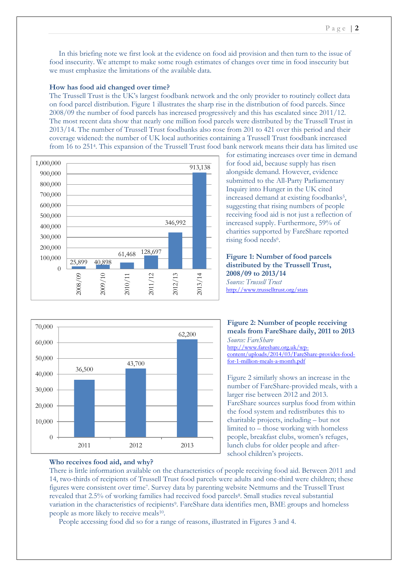In this briefing note we first look at the evidence on food aid provision and then turn to the issue of food insecurity. We attempt to make some rough estimates of changes over time in food insecurity but we must emphasize the limitations of the available data.

## **How has food aid changed over time?**

The Trussell Trust is the UK's largest foodbank network and the only provider to routinely collect data on food parcel distribution. Figure 1 illustrates the sharp rise in the distribution of food parcels. Since 2008/09 the number of food parcels has increased progressively and this has escalated since 2011/12. The most recent data show that nearly one million food parcels were distributed by the Trussell Trust in 2013/14. The number of Trussell Trust foodbanks also rose from 201 to 421 over this period and their coverage widened: the number of UK local authorities containing a Trussell Trust foodbank increased from 16 to 251<sup>4</sup> . This expansion of the Trussell Trust food bank network means their data has limited use





# **Who receives food aid, and why?**

for estimating increases over time in demand for food aid, because supply has risen alongside demand. However, evidence submitted to the All-Party Parliamentary Inquiry into Hunger in the UK cited increased demand at existing foodbanks<sup>5</sup>, suggesting that rising numbers of people receiving food aid is not just a reflection of increased supply. Furthermore, 59% of charities supported by FareShare reported rising food needs<sup>6</sup>.

**Figure 1: Number of food parcels distributed by the Trussell Trust, 2008/09 to 2013/14** *Source: Trussell Trust*  <http://www.trusselltrust.org/stats>

**Figure 2: Number of people receiving meals from FareShare daily, 2011 to 2013** *Source: FareShare* [http://www.fareshare.org.uk/wp](http://www.fareshare.org.uk/wp-content/uploads/2014/03/FareShare-provides-food-for-1-million-meals-a-month.pdf)[content/uploads/2014/03/FareShare-provides-food](http://www.fareshare.org.uk/wp-content/uploads/2014/03/FareShare-provides-food-for-1-million-meals-a-month.pdf)[for-1-million-meals-a-month.pdf](http://www.fareshare.org.uk/wp-content/uploads/2014/03/FareShare-provides-food-for-1-million-meals-a-month.pdf)

Figure 2 similarly shows an increase in the number of FareShare-provided meals, with a larger rise between 2012 and 2013. FareShare sources surplus food from within the food system and redistributes this to charitable projects, including – but not limited to – those working with homeless people, breakfast clubs, women's refuges, lunch clubs for older people and afterschool children's projects.

There is little information available on the characteristics of people receiving food aid. Between 2011 and 14, two-thirds of recipients of Trussell Trust food parcels were adults and one-third were children; these figures were consistent over time<sup>7</sup>. Survey data by parenting website Netmums and the Trussell Trust revealed that 2.5% of working families had received food parcels<sup>8</sup>. Small studies reveal substantial variation in the characteristics of recipients<sup>9</sup>. FareShare data identifies men, BME groups and homeless people as more likely to receive meals<sup>10</sup>.

People accessing food did so for a range of reasons, illustrated in Figures 3 and 4.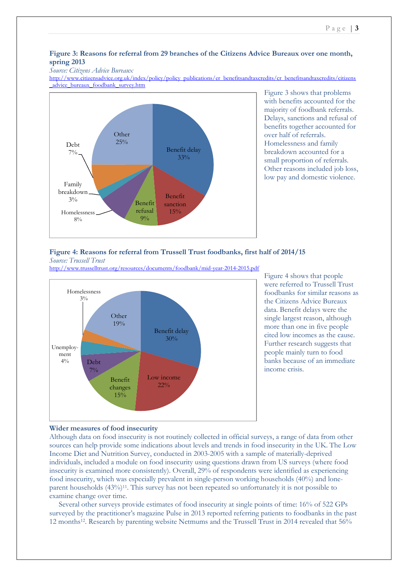# **Figure 3: Reasons for referral from 29 branches of the Citizens Advice Bureaux over one month, spring 2013**

#### *Source: Citizens Advice Bureaux*

[http://www.citizensadvice.org.uk/index/policy/policy\\_publications/er\\_benefitsandtaxcredits/cr\\_benefitsandtaxcredits/citizens](http://www.citizensadvice.org.uk/index/policy/policy_publications/er_benefitsandtaxcredits/cr_benefitsandtaxcredits/citizens_advice_bureaux_foodbank_survey.htm) [\\_advice\\_bureaux\\_foodbank\\_survey.htm](http://www.citizensadvice.org.uk/index/policy/policy_publications/er_benefitsandtaxcredits/cr_benefitsandtaxcredits/citizens_advice_bureaux_foodbank_survey.htm)



Figure 3 shows that problems with benefits accounted for the majority of foodbank referrals. Delays, sanctions and refusal of benefits together accounted for over half of referrals. Homelessness and family breakdown accounted for a small proportion of referrals. Other reasons included job loss, low pay and domestic violence.

#### **Figure 4: Reasons for referral from Trussell Trust foodbanks, first half of 2014/15** *Source: Trussell Trust*

<http://www.trusselltrust.org/resources/documents/foodbank/mid-year-2014-2015.pdf>



Figure 4 shows that people were referred to Trussell Trust foodbanks for similar reasons as the Citizens Advice Bureaux data. Benefit delays were the single largest reason, although more than one in five people cited low incomes as the cause. Further research suggests that people mainly turn to food banks because of an immediate income crisis.

# **Wider measures of food insecurity**

Although data on food insecurity is not routinely collected in official surveys, a range of data from other sources can help provide some indications about levels and trends in food insecurity in the UK. The Low Income Diet and Nutrition Survey, conducted in 2003-2005 with a sample of materially-deprived individuals, included a module on food insecurity using questions drawn from US surveys (where food insecurity is examined more consistently). Overall, 29% of respondents were identified as experiencing food insecurity, which was especially prevalent in single-person working households (40%) and loneparent households (43%)11. This survey has not been repeated so unfortunately it is not possible to examine change over time.

 Several other surveys provide estimates of food insecurity at single points of time: 16% of 522 GPs surveyed by the practitioner's magazine Pulse in 2013 reported referring patients to foodbanks in the past 12 months<sup>12</sup>. Research by parenting website Netmums and the Trussell Trust in 2014 revealed that 56%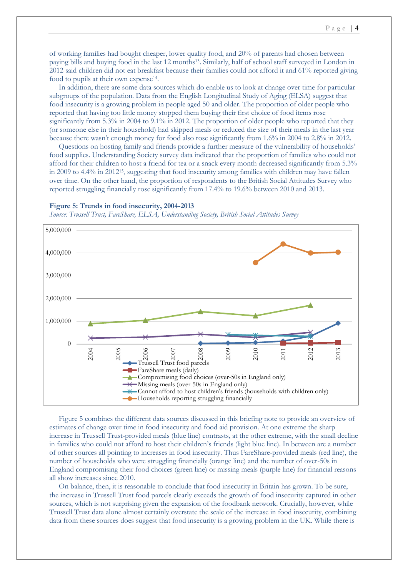of working families had bought cheaper, lower quality food, and 20% of parents had chosen between paying bills and buying food in the last 12 months<sup>13</sup>. Similarly, half of school staff surveyed in London in 2012 said children did not eat breakfast because their families could not afford it and 61% reported giving food to pupils at their own expense<sup>14</sup>.

 In addition, there are some data sources which do enable us to look at change over time for particular subgroups of the population. Data from the English Longitudinal Study of Aging (ELSA) suggest that food insecurity is a growing problem in people aged 50 and older. The proportion of older people who reported that having too little money stopped them buying their first choice of food items rose significantly from 5.3% in 2004 to 9.1% in 2012. The proportion of older people who reported that they (or someone else in their household) had skipped meals or reduced the size of their meals in the last year because there wasn't enough money for food also rose significantly from 1.6% in 2004 to 2.8% in 2012.

 Questions on hosting family and friends provide a further measure of the vulnerability of households' food supplies. Understanding Society survey data indicated that the proportion of families who could not afford for their children to host a friend for tea or a snack every month decreased significantly from 5.3% in 2009 to 4.4% in 201215, suggesting that food insecurity among families with children may have fallen over time. On the other hand, the proportion of respondents to the British Social Attitudes Survey who reported struggling financially rose significantly from 17.4% to 19.6% between 2010 and 2013.

#### **Figure 5: Trends in food insecurity, 2004-2013**

*Source: Trussell Trust, FareShare, ELSA, Understanding Society, British Social Attitudes Survey*



 Figure 5 combines the different data sources discussed in this briefing note to provide an overview of estimates of change over time in food insecurity and food aid provision. At one extreme the sharp increase in Trussell Trust-provided meals (blue line) contrasts, at the other extreme, with the small decline in families who could not afford to host their children's friends (light blue line). In between are a number of other sources all pointing to increases in food insecurity. Thus FareShare-provided meals (red line), the number of households who were struggling financially (orange line) and the number of over-50s in England compromising their food choices (green line) or missing meals (purple line) for financial reasons all show increases since 2010.

 On balance, then, it is reasonable to conclude that food insecurity in Britain has grown. To be sure, the increase in Trussell Trust food parcels clearly exceeds the growth of food insecurity captured in other sources, which is not surprising given the expansion of the foodbank network. Crucially, however, while Trussell Trust data alone almost certainly overstate the scale of the increase in food insecurity, combining data from these sources does suggest that food insecurity is a growing problem in the UK. While there is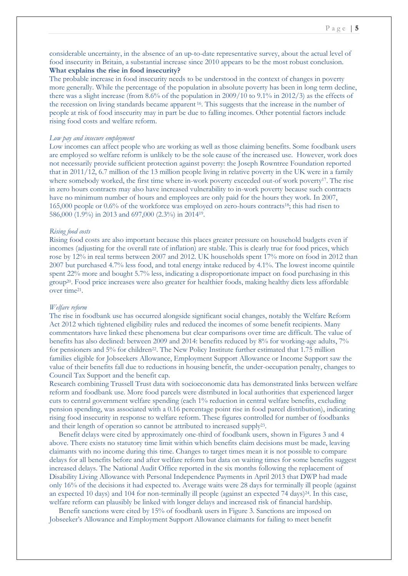## **What explains the rise in food insecurity?**

The probable increase in food insecurity needs to be understood in the context of changes in poverty more generally. While the percentage of the population in absolute poverty has been in long term decline, there was a slight increase (from 8.6% of the population in 2009/10 to 9.1% in 2012/3) as the effects of the recession on living standards became apparent <sup>16</sup> . This suggests that the increase in the number of people at risk of food insecurity may in part be due to falling incomes. Other potential factors include rising food costs and welfare reform.

## *Low pay and insecure employment*

Low incomes can affect people who are working as well as those claiming benefits. Some foodbank users are employed so welfare reform is unlikely to be the sole cause of the increased use. However, work does not necessarily provide sufficient protection against poverty: the Joseph Rowntree Foundation reported that in 2011/12, 6.7 million of the 13 million people living in relative poverty in the UK were in a family where somebody worked, the first time where in-work poverty exceeded out-of work poverty<sup>17</sup>. The rise in zero hours contracts may also have increased vulnerability to in-work poverty because such contracts have no minimum number of hours and employees are only paid for the hours they work. In 2007, 165,000 people or 0.6% of the workforce was employed on zero-hours contracts18; this had risen to 586,000 (1.9%) in 2013 and 697,000 (2.3%) in 2014<sup>19</sup> .

#### *Rising food costs*

Rising food costs are also important because this places greater pressure on household budgets even if incomes (adjusting for the overall rate of inflation) are stable. This is clearly true for food prices, which rose by 12% in real terms between 2007 and 2012. UK households spent 17% more on food in 2012 than 2007 but purchased 4.7% less food, and total energy intake reduced by 4.1%. The lowest income quintile spent 22% more and bought 5.7% less, indicating a disproportionate impact on food purchasing in this group20. Food price increases were also greater for healthier foods, making healthy diets less affordable over time<sup>21</sup>.

#### *Welfare reform*

The rise in foodbank use has occurred alongside significant social changes, notably the Welfare Reform Act 2012 which tightened eligibility rules and reduced the incomes of some benefit recipients. Many commentators have linked these phenomena but clear comparisons over time are difficult. The value of benefits has also declined: between 2009 and 2014: benefits reduced by 8% for working-age adults, 7% for pensioners and 5% for children<sup>22</sup>. The New Policy Institute further estimated that 1.75 million families eligible for Jobseekers Allowance, Employment Support Allowance or Income Support saw the value of their benefits fall due to reductions in housing benefit, the under-occupation penalty, changes to Council Tax Support and the benefit cap.

Research combining Trussell Trust data with socioeconomic data has demonstrated links between welfare reform and foodbank use. More food parcels were distributed in local authorities that experienced larger cuts to central government welfare spending (each 1% reduction in central welfare benefits, excluding pension spending, was associated with a 0.16 percentage point rise in food parcel distribution), indicating rising food insecurity in response to welfare reform. These figures controlled for number of foodbanks and their length of operation so cannot be attributed to increased supply<sup>23</sup> .

 Benefit delays were cited by approximately one-third of foodbank users, shown in Figures 3 and 4 above. There exists no statutory time limit within which benefits claim decisions must be made, leaving claimants with no income during this time. Changes to target times mean it is not possible to compare delays for all benefits before and after welfare reform but data on waiting times for some benefits suggest increased delays. The National Audit Office reported in the six months following the replacement of Disability Living Allowance with Personal Independence Payments in April 2013 that DWP had made only 16% of the decisions it had expected to. Average waits were 28 days for terminally ill people (against an expected 10 days) and 104 for non-terminally ill people (against an expected  $74$  days) $^{24}$ . In this case, welfare reform can plausibly be linked with longer delays and increased risk of financial hardship.

 Benefit sanctions were cited by 15% of foodbank users in Figure 3. Sanctions are imposed on Jobseeker's Allowance and Employment Support Allowance claimants for failing to meet benefit